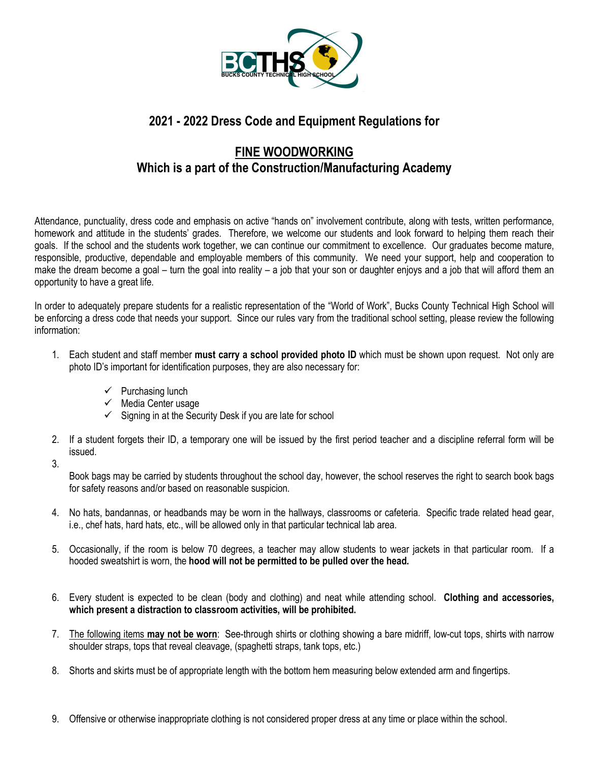

## **2021 - 2022 Dress Code and Equipment Regulations for**

## **FINE WOODWORKING Which is a part of the Construction/Manufacturing Academy**

Attendance, punctuality, dress code and emphasis on active "hands on" involvement contribute, along with tests, written performance, homework and attitude in the students' grades. Therefore, we welcome our students and look forward to helping them reach their goals. If the school and the students work together, we can continue our commitment to excellence. Our graduates become mature, responsible, productive, dependable and employable members of this community. We need your support, help and cooperation to make the dream become a goal – turn the goal into reality – a job that your son or daughter enjoys and a job that will afford them an opportunity to have a great life.

In order to adequately prepare students for a realistic representation of the "World of Work", Bucks County Technical High School will be enforcing a dress code that needs your support. Since our rules vary from the traditional school setting, please review the following information:

- 1. Each student and staff member **must carry a school provided photo ID** which must be shown upon request. Not only are photo ID's important for identification purposes, they are also necessary for:
	- $\checkmark$  Purchasing lunch
	- $\checkmark$  Media Center usage
	- $\checkmark$  Signing in at the Security Desk if you are late for school
- 2. If a student forgets their ID, a temporary one will be issued by the first period teacher and a discipline referral form will be issued.
- 3.

Book bags may be carried by students throughout the school day, however, the school reserves the right to search book bags for safety reasons and/or based on reasonable suspicion.

- 4. No hats, bandannas, or headbands may be worn in the hallways, classrooms or cafeteria. Specific trade related head gear, i.e., chef hats, hard hats, etc., will be allowed only in that particular technical lab area.
- 5. Occasionally, if the room is below 70 degrees, a teacher may allow students to wear jackets in that particular room. If a hooded sweatshirt is worn, the **hood will not be permitted to be pulled over the head.**
- 6. Every student is expected to be clean (body and clothing) and neat while attending school. **Clothing and accessories, which present a distraction to classroom activities, will be prohibited.**
- 7. The following items **may not be worn**: See-through shirts or clothing showing a bare midriff, low-cut tops, shirts with narrow shoulder straps, tops that reveal cleavage, (spaghetti straps, tank tops, etc.)
- 8. Shorts and skirts must be of appropriate length with the bottom hem measuring below extended arm and fingertips.
- 9. Offensive or otherwise inappropriate clothing is not considered proper dress at any time or place within the school.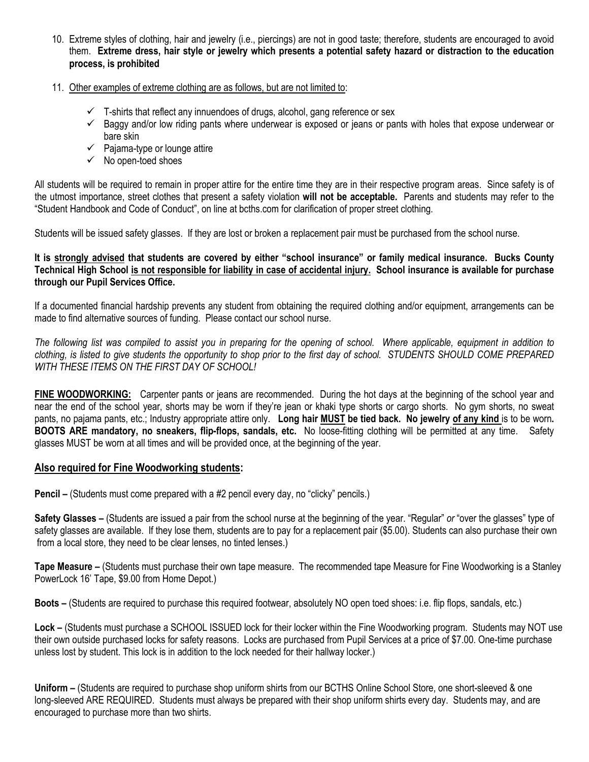- 10. Extreme styles of clothing, hair and jewelry (i.e., piercings) are not in good taste; therefore, students are encouraged to avoid them. **Extreme dress, hair style or jewelry which presents a potential safety hazard or distraction to the education process, is prohibited**
- 11. Other examples of extreme clothing are as follows, but are not limited to:
	- $\checkmark$  T-shirts that reflect any innuendoes of drugs, alcohol, gang reference or sex
	- $\checkmark$  Baggy and/or low riding pants where underwear is exposed or jeans or pants with holes that expose underwear or bare skin
	- $\checkmark$  Pajama-type or lounge attire
	- $\checkmark$  No open-toed shoes

All students will be required to remain in proper attire for the entire time they are in their respective program areas. Since safety is of the utmost importance, street clothes that present a safety violation **will not be acceptable.** Parents and students may refer to the "Student Handbook and Code of Conduct", on line at bcths.com for clarification of proper street clothing.

Students will be issued safety glasses. If they are lost or broken a replacement pair must be purchased from the school nurse.

## **It is strongly advised that students are covered by either "school insurance" or family medical insurance. Bucks County Technical High School is not responsible for liability in case of accidental injury. School insurance is available for purchase through our Pupil Services Office.**

If a documented financial hardship prevents any student from obtaining the required clothing and/or equipment, arrangements can be made to find alternative sources of funding. Please contact our school nurse.

*The following list was compiled to assist you in preparing for the opening of school. Where applicable, equipment in addition to clothing, is listed to give students the opportunity to shop prior to the first day of school. STUDENTS SHOULD COME PREPARED WITH THESE ITEMS ON THE FIRST DAY OF SCHOOL!*

**FINE WOODWORKING:** Carpenter pants or jeans are recommended. During the hot days at the beginning of the school year and near the end of the school year, shorts may be worn if they're jean or khaki type shorts or cargo shorts. No gym shorts, no sweat pants, no pajama pants, etc.; Industry appropriate attire only. **Long hair MUST be tied back. No jewelry of any kind** is to be worn**. BOOTS ARE mandatory, no sneakers, flip-flops, sandals, etc.** No loose-fitting clothing will be permitted at any time. Safety glasses MUST be worn at all times and will be provided once, at the beginning of the year.

## **Also required for Fine Woodworking students:**

**Pencil –** (Students must come prepared with a #2 pencil every day, no "clicky" pencils.)

**Safety Glasses –** (Students are issued a pair from the school nurse at the beginning of the year. "Regular" *or* "over the glasses" type of safety glasses are available. If they lose them, students are to pay for a replacement pair (\$5.00). Students can also purchase their own from a local store, they need to be clear lenses, no tinted lenses.)

**Tape Measure –** (Students must purchase their own tape measure. The recommended tape Measure for Fine Woodworking is a Stanley PowerLock 16' Tape, \$9.00 from Home Depot.)

**Boots –** (Students are required to purchase this required footwear, absolutely NO open toed shoes: i.e. flip flops, sandals, etc.)

**Lock –** (Students must purchase a SCHOOL ISSUED lock for their locker within the Fine Woodworking program. Students may NOT use their own outside purchased locks for safety reasons. Locks are purchased from Pupil Services at a price of \$7.00. One-time purchase unless lost by student. This lock is in addition to the lock needed for their hallway locker.)

**Uniform –** (Students are required to purchase shop uniform shirts from our BCTHS Online School Store, one short-sleeved & one long-sleeved ARE REQUIRED. Students must always be prepared with their shop uniform shirts every day. Students may, and are encouraged to purchase more than two shirts.